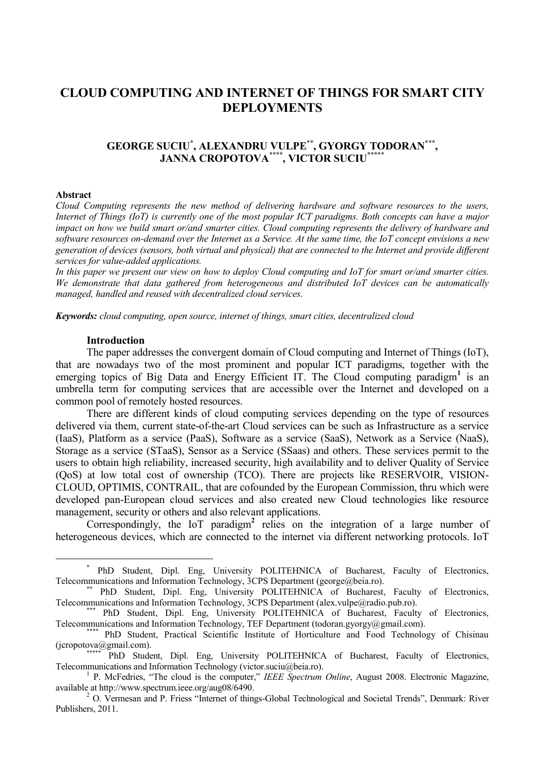# **CLOUD COMPUTING AND INTERNET OF THINGS FOR SMART CITY DEPLOYMENTS**

## **GEORGE SUCIU\* , ALEXANDRU VULPE\*\*, GYORGY TODORAN\*\*\* , JANNA CROPOTOVA\*\*\*\*, VICTOR SUCIU\*\*\*\*\***

## **Abstract**

 $\overline{a}$ 

*Cloud Computing represents the new method of delivering hardware and software resources to the users, Internet of Things (IoT) is currently one of the most popular ICT paradigms. Both concepts can have a major impact on how we build smart or/and smarter cities. Cloud computing represents the delivery of hardware and software resources on-demand over the Internet as a Service. At the same time, the IoT concept envisions a new generation of devices (sensors, both virtual and physical) that are connected to the Internet and provide different services for value-added applications.*

*In this paper we present our view on how to deploy Cloud computing and IoT for smart or/and smarter cities. We demonstrate that data gathered from heterogeneous and distributed IoT devices can be automatically managed, handled and reused with decentralized cloud services.*

*Keywords: cloud computing, open source, internet of things, smart cities, decentralized cloud*

#### **Introduction**

The paper addresses the convergent domain of Cloud computing and Internet of Things (IoT), that are nowadays two of the most prominent and popular ICT paradigms, together with the emerging topics of Big Data and Energy Efficient IT. The Cloud computing paradigm<sup>1</sup> is an umbrella term for computing services that are accessible over the Internet and developed on a common pool of remotely hosted resources.

There are different kinds of cloud computing services depending on the type of resources delivered via them, current state-of-the-art Cloud services can be such as Infrastructure as a service (IaaS), Platform as a service (PaaS), Software as a service (SaaS), Network as a Service (NaaS), Storage as a service (STaaS), Sensor as a Service (SSaas) and others. These services permit to the users to obtain high reliability, increased security, high availability and to deliver Quality of Service (QoS) at low total cost of ownership (TCO). There are projects like RESERVOIR, VISION-CLOUD, OPTIMIS, CONTRAIL, that are cofounded by the European Commission, thru which were developed pan-European cloud services and also created new Cloud technologies like resource management, security or others and also relevant applications.

Correspondingly, the IoT paradigm**<sup>2</sup>** relies on the integration of a large number of heterogeneous devices, which are connected to the internet via different networking protocols. IoT

<sup>\*</sup> PhD Student, Dipl. Eng, University POLITEHNICA of Bucharest, Faculty of Electronics, Telecommunications and Information Technology, 3CPS Department (george@beia.ro).

<sup>\*\*</sup> PhD Student, Dipl. Eng, University POLITEHNICA of Bucharest, Faculty of Electronics, Telecommunications and Information Technology, 3CPS Department (alex.vulpe@radio.pub.ro).

<sup>\*\*\*</sup> PhD Student, Dipl. Eng, University POLITEHNICA of Bucharest, Faculty of Electronics, Telecommunications and Information Technology, TEF Department (todoran.gyorgy@gmail.com).

<sup>\*\*\*\*</sup> PhD Student, Practical Scientific Institute of Horticulture and Food Technology of Chisinau (jcropotova@gmail.com).

PhD Student, Dipl. Eng, University POLITEHNICA of Bucharest, Faculty of Electronics, Telecommunications and Information Technology (victor.suciu@beia.ro).

<sup>&</sup>lt;sup>1</sup> P. McFedries, "The cloud is the computer," *IEEE Spectrum Online*, August 2008. Electronic Magazine, available at http://www.spectrum.ieee.org/aug08/6490.

<sup>&</sup>lt;sup>2</sup> O. Vermesan and P. Friess "Internet of things-Global Technological and Societal Trends", Denmark: River Publishers, 2011.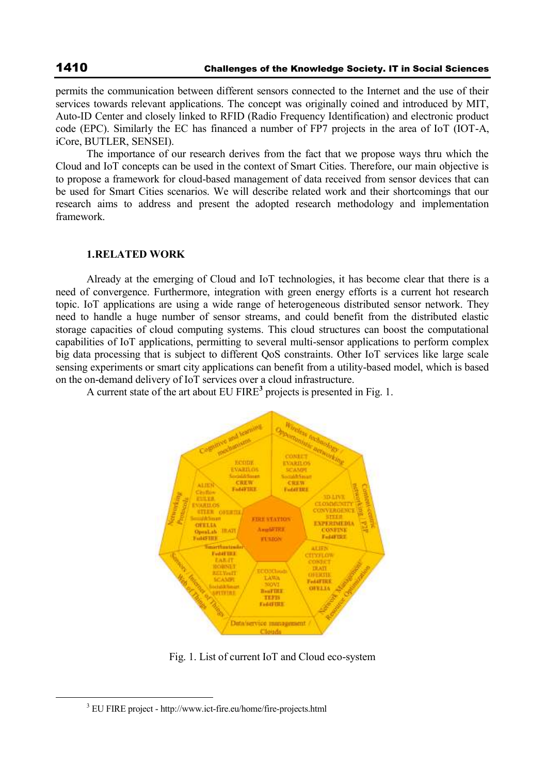$\overline{a}$ 

permits the communication between different sensors connected to the Internet and the use of their services towards relevant applications. The concept was originally coined and introduced by MIT, Auto-ID Center and closely linked to RFID (Radio Frequency Identification) and electronic product code (EPC). Similarly the EC has financed a number of FP7 projects in the area of IoT (IOT-A, iCore, BUTLER, SENSEI).

The importance of our research derives from the fact that we propose ways thru which the Cloud and IoT concepts can be used in the context of Smart Cities. Therefore, our main objective is to propose a framework for cloud-based management of data received from sensor devices that can be used for Smart Cities scenarios. We will describe related work and their shortcomings that our research aims to address and present the adopted research methodology and implementation framework.

## **1.RELATED WORK**

Already at the emerging of Cloud and IoT technologies, it has become clear that there is a need of convergence. Furthermore, integration with green energy efforts is a current hot research topic. IoT applications are using a wide range of heterogeneous distributed sensor network. They need to handle a huge number of sensor streams, and could benefit from the distributed elastic storage capacities of cloud computing systems. This cloud structures can boost the computational capabilities of IoT applications, permitting to several multi-sensor applications to perform complex big data processing that is subject to different QoS constraints. Other IoT services like large scale sensing experiments or smart city applications can benefit from a utility-based model, which is based on the on-demand delivery of IoT services over a cloud infrastructure.

A current state of the art about EU FIRE**<sup>3</sup>** projects is presented in Fig. 1.



Fig. 1. List of current IoT and Cloud eco-system

<sup>&</sup>lt;sup>3</sup> EU FIRE project - http://www.ict-fire.eu/home/fire-projects.html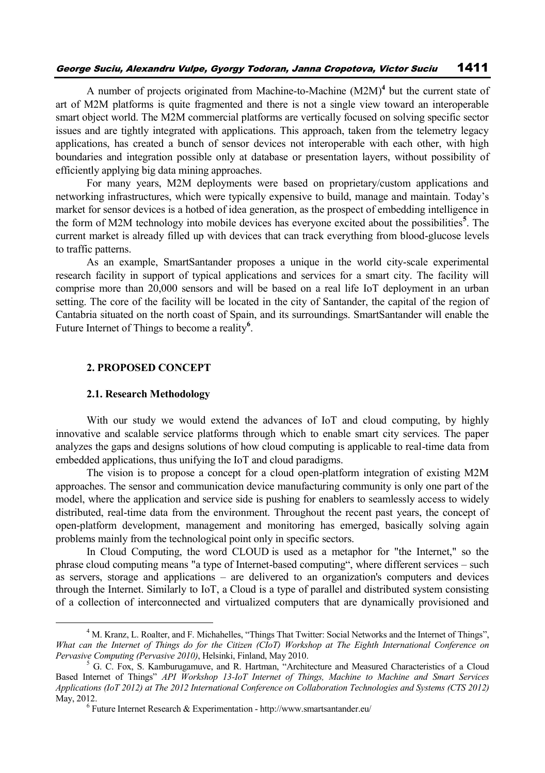## George Suciu, Alexandru Vulpe, Gyorgy Todoran, Janna Cropotova, Victor Suciu 1411

A number of projects originated from Machine-to-Machine (M2M)**<sup>4</sup>** but the current state of art of M2M platforms is quite fragmented and there is not a single view toward an interoperable smart object world. The M2M commercial platforms are vertically focused on solving specific sector issues and are tightly integrated with applications. This approach, taken from the telemetry legacy applications, has created a bunch of sensor devices not interoperable with each other, with high boundaries and integration possible only at database or presentation layers, without possibility of efficiently applying big data mining approaches.

For many years, M2M deployments were based on proprietary/custom applications and networking infrastructures, which were typically expensive to build, manage and maintain. Today's market for sensor devices is a hotbed of idea generation, as the prospect of embedding intelligence in the form of M2M technology into mobile devices has everyone excited about the possibilities**<sup>5</sup>** . The current market is already filled up with devices that can track everything from blood-glucose levels to traffic patterns.

As an example, SmartSantander proposes a unique in the world city-scale experimental research facility in support of typical applications and services for a smart city. The facility will comprise more than 20,000 sensors and will be based on a real life IoT deployment in an urban setting. The core of the facility will be located in the city of Santander, the capital of the region of Cantabria situated on the north coast of Spain, and its surroundings. SmartSantander will enable the Future Internet of Things to become a reality**<sup>6</sup>** .

## **2. PROPOSED CONCEPT**

## **2.1. Research Methodology**

 $\overline{a}$ 

With our study we would extend the advances of IoT and cloud computing, by highly innovative and scalable service platforms through which to enable smart city services. The paper analyzes the gaps and designs solutions of how cloud computing is applicable to real-time data from embedded applications, thus unifying the IoT and cloud paradigms.

The vision is to propose a concept for a cloud open-platform integration of existing M2M approaches. The sensor and communication device manufacturing community is only one part of the model, where the application and service side is pushing for enablers to seamlessly access to widely distributed, real-time data from the environment. Throughout the recent past years, the concept of open-platform development, management and monitoring has emerged, basically solving again problems mainly from the technological point only in specific sectors.

In Cloud Computing, the word CLOUD is used as a metaphor for "the Internet," so the phrase cloud computing means "a type of Internet-based computing", where different services – such as servers, storage and applications – are delivered to an organization's computers and devices through the Internet. Similarly to IoT, a Cloud is a type of parallel and distributed system consisting of a collection of interconnected and virtualized computers that are dynamically provisioned and

<sup>4</sup> M. Kranz, L. Roalter, and F. Michahelles, "Things That Twitter: Social Networks and the Internet of Things", *What can the Internet of Things do for the Citizen (CIoT) Workshop at The Eighth International Conference on Pervasive Computing (Pervasive 2010)*, Helsinki, Finland, May 2010.

 $5$  G. C. Fox, S. Kamburugamuve, and R. Hartman, "Architecture and Measured Characteristics of a Cloud Based Internet of Things" *API Workshop 13-IoT Internet of Things, Machine to Machine and Smart Services Applications (IoT 2012) at The 2012 International Conference on Collaboration Technologies and Systems (CTS 2012)* May, 2012.

 $6$  Future Internet Research & Experimentation - http://www.smartsantander.eu/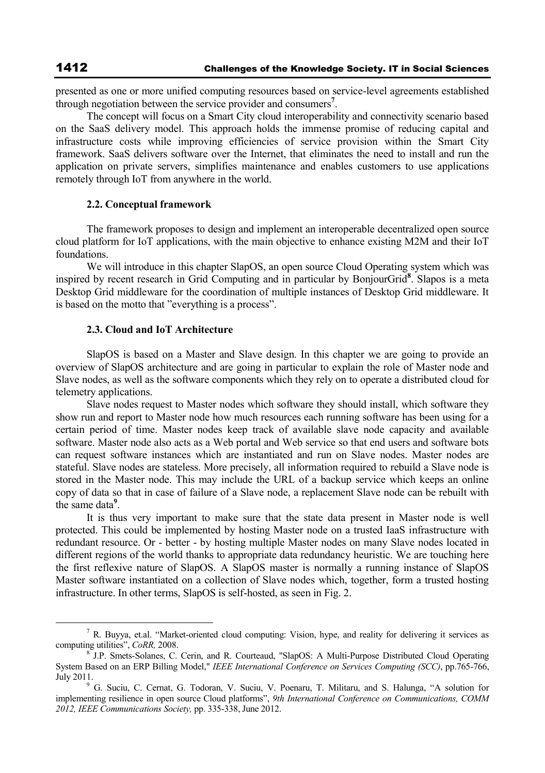presented as one or more unified computing resources based on service-level agreements established through negotiation between the service provider and consumers**<sup>7</sup>** .

The concept will focus on a Smart City cloud interoperability and connectivity scenario based on the SaaS delivery model. This approach holds the immense promise of reducing capital and infrastructure costs while improving efficiencies of service provision within the Smart City framework. SaaS delivers software over the Internet, that eliminates the need to install and run the application on private servers, simplifies maintenance and enables customers to use applications remotely through IoT from anywhere in the world.

#### **2.2. Conceptual framework**

The framework proposes to design and implement an interoperable decentralized open source cloud platform for IoT applications, with the main objective to enhance existing M2M and their IoT foundations.

We will introduce in this chapter SlapOS, an open source Cloud Operating system which was inspired by recent research in Grid Computing and in particular by BonjourGrid**<sup>8</sup>** . Slapos is a meta Desktop Grid middleware for the coordination of multiple instances of Desktop Grid middleware. It is based on the motto that "everything is a process".

#### **2.3. Cloud and IoT Architecture**

SlapOS is based on a Master and Slave design. In this chapter we are going to provide an overview of SlapOS architecture and are going in particular to explain the role of Master node and Slave nodes, as well as the software components which they rely on to operate a distributed cloud for telemetry applications.

Slave nodes request to Master nodes which software they should install, which software they show run and report to Master node how much resources each running software has been using for a certain period of time. Master nodes keep track of available slave node capacity and available software. Master node also acts as a Web portal and Web service so that end users and software bots can request software instances which are instantiated and run on Slave nodes. Master nodes are stateful. Slave nodes are stateless. More precisely, all information required to rebuild a Slave node is stored in the Master node. This may include the URL of a backup service which keeps an online copy of data so that in case of failure of a Slave node, a replacement Slave node can be rebuilt with the same data**<sup>9</sup>** .

It is thus very important to make sure that the state data present in Master node is well protected. This could be implemented by hosting Master node on a trusted IaaS infrastructure with redundant resource. Or - better - by hosting multiple Master nodes on many Slave nodes located in different regions of the world thanks to appropriate data redundancy heuristic. We are touching here the first reflexive nature of SlapOS. A SlapOS master is normally a running instance of SlapOS Master software instantiated on a collection of Slave nodes which, together, form a trusted hosting infrastructure. In other terms, SlapOS is self-hosted, as seen in Fig. 2.

 $\overline{a}$ 

<sup>7</sup> R. Buyya, et.al. "Market-oriented cloud computing: Vision, hype, and reality for delivering it services as computing utilities", *CoRR*, 2008.

J.P. Smets-Solanes, C. Cerin, and R. Courteaud, "SlapOS: A Multi-Purpose Distributed Cloud Operating System Based on an ERP Billing Model," *IEEE International Conference on Services Computing (SCC)*, pp.765-766, July 2011.

<sup>9</sup> G. Suciu, C. Cernat, G. Todoran, V. Suciu, V. Poenaru, T. Militaru, and S. Halunga, "A solution for implementing resilience in open source Cloud platforms", *9th International Conference on Communications, COMM 2012, IEEE Communications Society,* pp. 335-338, June 2012.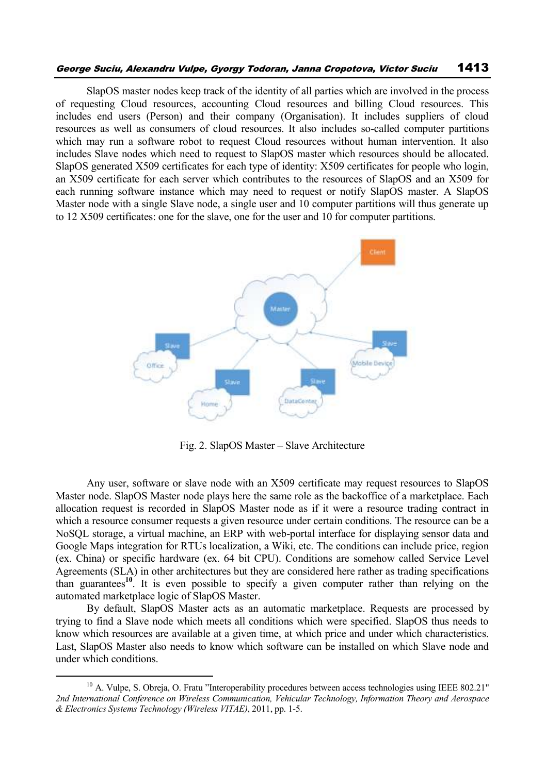## George Suciu, Alexandru Vulpe, Gyorgy Todoran, Janna Cropotova, Victor Suciu 1413

SlapOS master nodes keep track of the identity of all parties which are involved in the process of requesting Cloud resources, accounting Cloud resources and billing Cloud resources. This includes end users (Person) and their company (Organisation). It includes suppliers of cloud resources as well as consumers of cloud resources. It also includes so-called computer partitions which may run a software robot to request Cloud resources without human intervention. It also includes Slave nodes which need to request to SlapOS master which resources should be allocated. SlapOS generated X509 certificates for each type of identity: X509 certificates for people who login, an X509 certificate for each server which contributes to the resources of SlapOS and an X509 for each running software instance which may need to request or notify SlapOS master. A SlapOS Master node with a single Slave node, a single user and 10 computer partitions will thus generate up to 12 X509 certificates: one for the slave, one for the user and 10 for computer partitions.



Fig. 2. SlapOS Master – Slave Architecture

Any user, software or slave node with an X509 certificate may request resources to SlapOS Master node. SlapOS Master node plays here the same role as the backoffice of a marketplace. Each allocation request is recorded in SlapOS Master node as if it were a resource trading contract in which a resource consumer requests a given resource under certain conditions. The resource can be a NoSQL storage, a virtual machine, an ERP with web-portal interface for displaying sensor data and Google Maps integration for RTUs localization, a Wiki, etc. The conditions can include price, region (ex. China) or specific hardware (ex. 64 bit CPU). Conditions are somehow called Service Level Agreements (SLA) in other architectures but they are considered here rather as trading specifications than guarantees**<sup>10</sup>**. It is even possible to specify a given computer rather than relying on the automated marketplace logic of SlapOS Master.

By default, SlapOS Master acts as an automatic marketplace. Requests are processed by trying to find a Slave node which meets all conditions which were specified. SlapOS thus needs to know which resources are available at a given time, at which price and under which characteristics. Last, SlapOS Master also needs to know which software can be installed on which Slave node and under which conditions.

 $\overline{a}$ 

<sup>&</sup>lt;sup>10</sup> A. Vulpe, S. Obreja, O. Fratu "Interoperability procedures between access technologies using IEEE 802.21" *2nd International Conference on Wireless Communication, Vehicular Technology, Information Theory and Aerospace & Electronics Systems Technology (Wireless VITAE)*, 2011, pp. 1-5.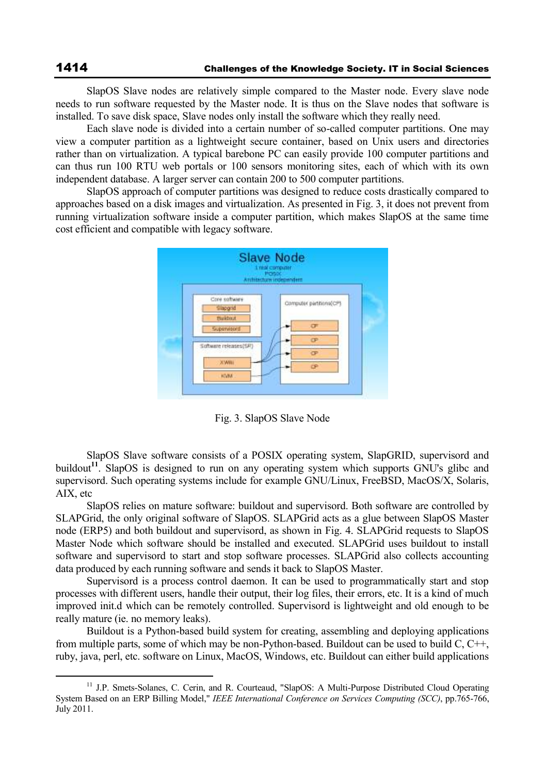SlapOS Slave nodes are relatively simple compared to the Master node. Every slave node needs to run software requested by the Master node. It is thus on the Slave nodes that software is installed. To save disk space, Slave nodes only install the software which they really need.

Each slave node is divided into a certain number of so-called computer partitions. One may view a computer partition as a lightweight secure container, based on Unix users and directories rather than on virtualization. A typical barebone PC can easily provide 100 computer partitions and can thus run 100 RTU web portals or 100 sensors monitoring sites, each of which with its own independent database. A larger server can contain 200 to 500 computer partitions.

SlapOS approach of computer partitions was designed to reduce costs drastically compared to approaches based on a disk images and virtualization. As presented in Fig. 3, it does not prevent from running virtualization software inside a computer partition, which makes SlapOS at the same time cost efficient and compatible with legacy software.



Fig. 3. SlapOS Slave Node

SlapOS Slave software consists of a POSIX operating system, SlapGRID, supervisord and buildout**<sup>11</sup>**. SlapOS is designed to run on any operating system which supports GNU's glibc and supervisord. Such operating systems include for example GNU/Linux, FreeBSD, MacOS/X, Solaris, AIX, etc

SlapOS relies on mature software: buildout and supervisord. Both software are controlled by SLAPGrid, the only original software of SlapOS. SLAPGrid acts as a glue between SlapOS Master node (ERP5) and both buildout and supervisord, as shown in Fig. 4. SLAPGrid requests to SlapOS Master Node which software should be installed and executed. SLAPGrid uses buildout to install software and supervisord to start and stop software processes. SLAPGrid also collects accounting data produced by each running software and sends it back to SlapOS Master.

Supervisord is a process control daemon. It can be used to programmatically start and stop processes with different users, handle their output, their log files, their errors, etc. It is a kind of much improved init.d which can be remotely controlled. Supervisord is lightweight and old enough to be really mature (ie. no memory leaks).

Buildout is a Python-based build system for creating, assembling and deploying applications from multiple parts, some of which may be non-Python-based. Buildout can be used to build C, C++, ruby, java, perl, etc. software on Linux, MacOS, Windows, etc. Buildout can either build applications

 $\overline{a}$ 

<sup>&</sup>lt;sup>11</sup> J.P. Smets-Solanes, C. Cerin, and R. Courteaud, "SlapOS: A Multi-Purpose Distributed Cloud Operating System Based on an ERP Billing Model," *IEEE International Conference on Services Computing (SCC)*, pp.765-766, July 2011.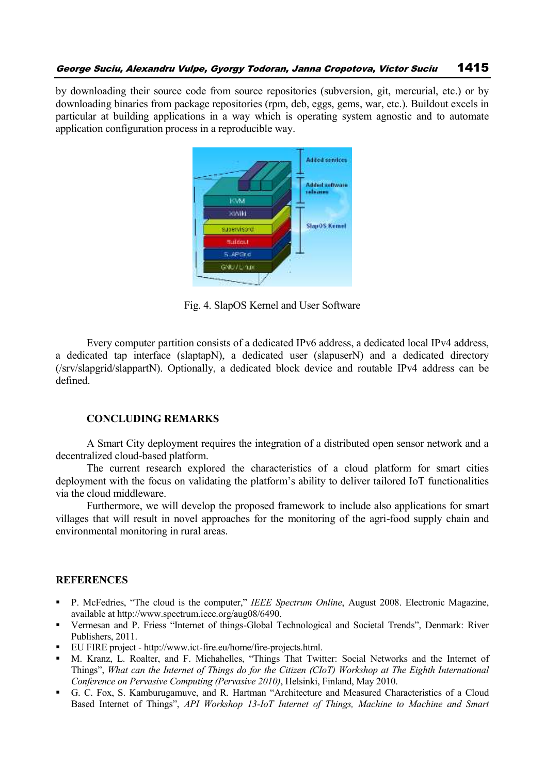by downloading their source code from source repositories (subversion, git, mercurial, etc.) or by downloading binaries from package repositories (rpm, deb, eggs, gems, war, etc.). Buildout excels in particular at building applications in a way which is operating system agnostic and to automate application configuration process in a reproducible way.



Fig. 4. SlapOS Kernel and User Software

Every computer partition consists of a dedicated IPv6 address, a dedicated local IPv4 address, a dedicated tap interface (slaptapN), a dedicated user (slapuserN) and a dedicated directory (/srv/slapgrid/slappartN). Optionally, a dedicated block device and routable IPv4 address can be defined.

# **CONCLUDING REMARKS**

A Smart City deployment requires the integration of a distributed open sensor network and a decentralized cloud-based platform.

The current research explored the characteristics of a cloud platform for smart cities deployment with the focus on validating the platform's ability to deliver tailored IoT functionalities via the cloud middleware.

Furthermore, we will develop the proposed framework to include also applications for smart villages that will result in novel approaches for the monitoring of the agri-food supply chain and environmental monitoring in rural areas.

#### **REFERENCES**

- P. McFedries, "The cloud is the computer," *IEEE Spectrum Online*, August 2008. Electronic Magazine, available at http://www.spectrum.ieee.org/aug08/6490.
- Vermesan and P. Friess "Internet of things-Global Technological and Societal Trends", Denmark: River Publishers, 2011.
- EU FIRE project http://www.ict-fire.eu/home/fire-projects.html.
- M. Kranz, L. Roalter, and F. Michahelles, "Things That Twitter: Social Networks and the Internet of Things", *What can the Internet of Things do for the Citizen (CIoT) Workshop at The Eighth International Conference on Pervasive Computing (Pervasive 2010)*, Helsinki, Finland, May 2010.
- G. C. Fox, S. Kamburugamuve, and R. Hartman "Architecture and Measured Characteristics of a Cloud Based Internet of Things", *API Workshop 13-IoT Internet of Things, Machine to Machine and Smart*